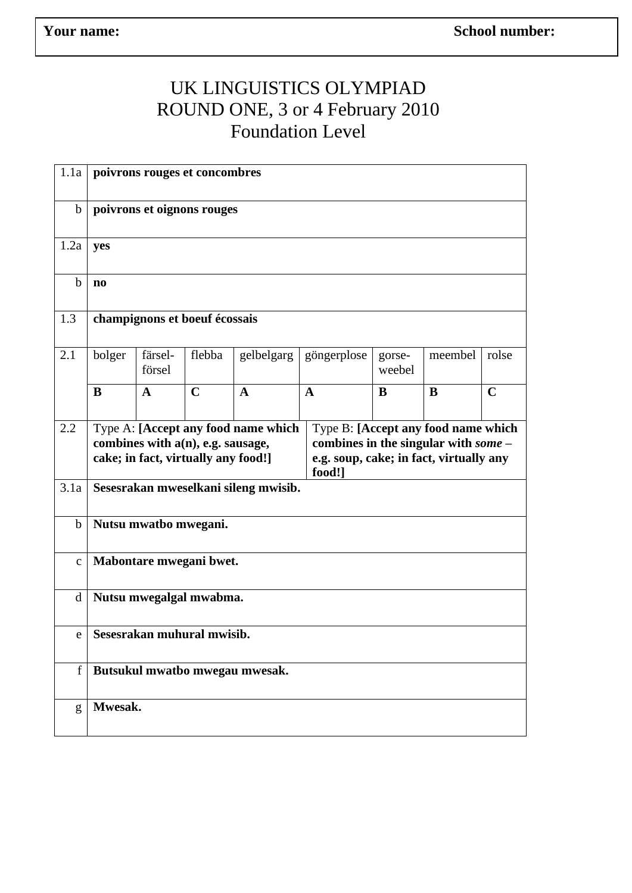## UK LINGUISTICS OLYMPIAD ROUND ONE, 3 or 4 February 2010 Foundation Level

| 1.1a         | poivrons rouges et concombres        |                   |                                                                          |                                     |              |                                                                                                                         |         |             |  |  |  |
|--------------|--------------------------------------|-------------------|--------------------------------------------------------------------------|-------------------------------------|--------------|-------------------------------------------------------------------------------------------------------------------------|---------|-------------|--|--|--|
| $\mathbf b$  | poivrons et oignons rouges           |                   |                                                                          |                                     |              |                                                                                                                         |         |             |  |  |  |
| 1.2a         | yes                                  |                   |                                                                          |                                     |              |                                                                                                                         |         |             |  |  |  |
| $\mathbf b$  | $\mathbf{n}$                         |                   |                                                                          |                                     |              |                                                                                                                         |         |             |  |  |  |
| 1.3          | champignons et boeuf écossais        |                   |                                                                          |                                     |              |                                                                                                                         |         |             |  |  |  |
| 2.1          | bolger                               | färsel-<br>försel | flebba                                                                   | gelbelgarg                          | göngerplose  | gorse-<br>weebel                                                                                                        | meembel | rolse       |  |  |  |
|              | B                                    | $\mathbf{A}$      | $\mathbf C$                                                              | $\mathbf{A}$                        | $\mathbf{A}$ | B                                                                                                                       | B       | $\mathbf C$ |  |  |  |
| 2.2          |                                      |                   | combines with a(n), e.g. sausage,<br>cake; in fact, virtually any food!] | Type A: [Accept any food name which | food!]       | Type B: [Accept any food name which<br>combines in the singular with $some-$<br>e.g. soup, cake; in fact, virtually any |         |             |  |  |  |
| 3.1a         | Sesesrakan mweselkani sileng mwisib. |                   |                                                                          |                                     |              |                                                                                                                         |         |             |  |  |  |
| $\mathbf b$  | Nutsu mwatbo mwegani.                |                   |                                                                          |                                     |              |                                                                                                                         |         |             |  |  |  |
| $\mathbf{C}$ | Mabontare mwegani bwet.              |                   |                                                                          |                                     |              |                                                                                                                         |         |             |  |  |  |
| d            | Nutsu mwegalgal mwabma.              |                   |                                                                          |                                     |              |                                                                                                                         |         |             |  |  |  |
| e            | Sesesrakan muhural mwisib.           |                   |                                                                          |                                     |              |                                                                                                                         |         |             |  |  |  |
| f            | Butsukul mwatbo mwegau mwesak.       |                   |                                                                          |                                     |              |                                                                                                                         |         |             |  |  |  |
| g            | Mwesak.                              |                   |                                                                          |                                     |              |                                                                                                                         |         |             |  |  |  |